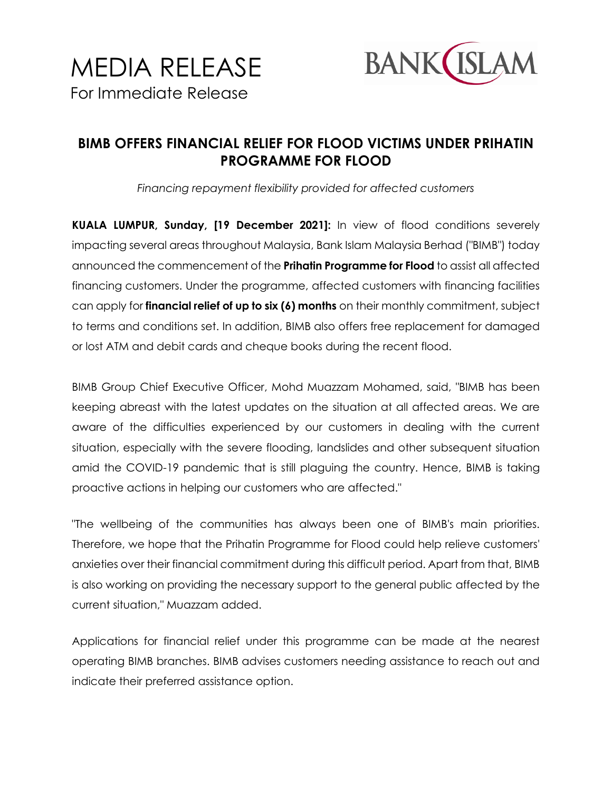

## **BIMB OFFERS FINANCIAL RELIEF FOR FLOOD VICTIMS UNDER PRIHATIN PROGRAMME FOR FLOOD**

*Financing repayment flexibility provided for affected customers*

**KUALA LUMPUR, Sunday, [19 December 2021]:** In view of flood conditions severely impacting several areas throughout Malaysia, Bank Islam Malaysia Berhad ("BIMB") today announced the commencement of the **Prihatin Programme for Flood** to assist all affected financing customers. Under the programme, affected customers with financing facilities can apply for **financial relief of up to six (6) months** on their monthly commitment, subject to terms and conditions set. In addition, BIMB also offers free replacement for damaged or lost ATM and debit cards and cheque books during the recent flood.

BIMB Group Chief Executive Officer, Mohd Muazzam Mohamed, said, "BIMB has been keeping abreast with the latest updates on the situation at all affected areas. We are aware of the difficulties experienced by our customers in dealing with the current situation, especially with the severe flooding, landslides and other subsequent situation amid the COVID-19 pandemic that is still plaguing the country. Hence, BIMB is taking proactive actions in helping our customers who are affected."

"The wellbeing of the communities has always been one of BIMB's main priorities. Therefore, we hope that the Prihatin Programme for Flood could help relieve customers' anxieties over their financial commitment during this difficult period. Apart from that, BIMB is also working on providing the necessary support to the general public affected by the current situation," Muazzam added.

Applications for financial relief under this programme can be made at the nearest operating BIMB branches. BIMB advises customers needing assistance to reach out and indicate their preferred assistance option.